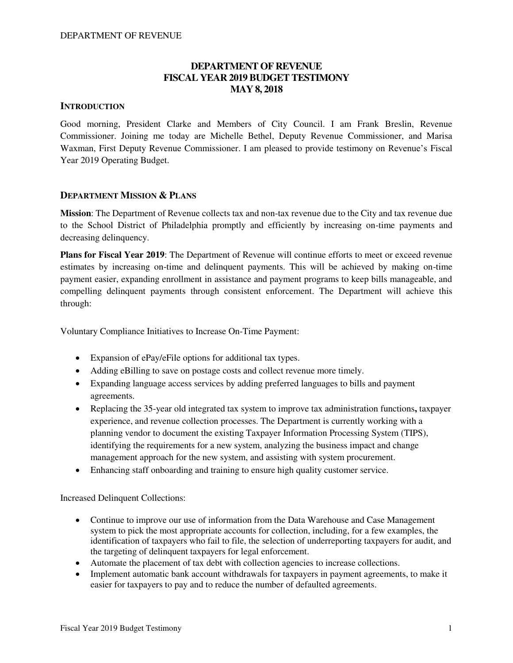# **DEPARTMENT OF REVENUE FISCAL YEAR 2019 BUDGET TESTIMONY MAY 8, 2018**

## **INTRODUCTION**

Good morning, President Clarke and Members of City Council. I am Frank Breslin, Revenue Commissioner. Joining me today are Michelle Bethel, Deputy Revenue Commissioner, and Marisa Waxman, First Deputy Revenue Commissioner. I am pleased to provide testimony on Revenue's Fiscal Year 2019 Operating Budget.

## **DEPARTMENT MISSION & PLANS**

**Mission**: The Department of Revenue collects tax and non-tax revenue due to the City and tax revenue due to the School District of Philadelphia promptly and efficiently by increasing on-time payments and decreasing delinquency.

**Plans for Fiscal Year 2019**: The Department of Revenue will continue efforts to meet or exceed revenue estimates by increasing on-time and delinquent payments. This will be achieved by making on-time payment easier, expanding enrollment in assistance and payment programs to keep bills manageable, and compelling delinquent payments through consistent enforcement. The Department will achieve this through:

Voluntary Compliance Initiatives to Increase On-Time Payment:

- Expansion of ePay/eFile options for additional tax types.
- Adding eBilling to save on postage costs and collect revenue more timely.
- Expanding language access services by adding preferred languages to bills and payment agreements.
- Replacing the 35-year old integrated tax system to improve tax administration functions**,** taxpayer experience, and revenue collection processes. The Department is currently working with a planning vendor to document the existing Taxpayer Information Processing System (TIPS), identifying the requirements for a new system, analyzing the business impact and change management approach for the new system, and assisting with system procurement.
- Enhancing staff onboarding and training to ensure high quality customer service.

Increased Delinquent Collections:

- Continue to improve our use of information from the Data Warehouse and Case Management system to pick the most appropriate accounts for collection, including, for a few examples, the identification of taxpayers who fail to file, the selection of underreporting taxpayers for audit, and the targeting of delinquent taxpayers for legal enforcement.
- Automate the placement of tax debt with collection agencies to increase collections.
- Implement automatic bank account withdrawals for taxpayers in payment agreements, to make it easier for taxpayers to pay and to reduce the number of defaulted agreements.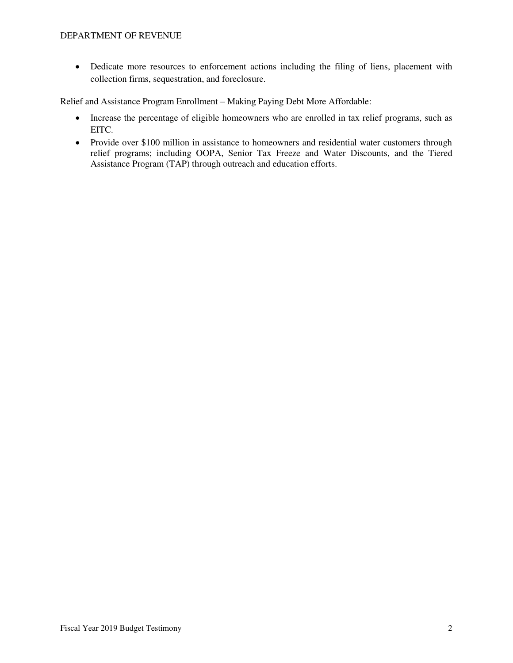• Dedicate more resources to enforcement actions including the filing of liens, placement with collection firms, sequestration, and foreclosure.

Relief and Assistance Program Enrollment – Making Paying Debt More Affordable:

- Increase the percentage of eligible homeowners who are enrolled in tax relief programs, such as EITC.
- Provide over \$100 million in assistance to homeowners and residential water customers through relief programs; including OOPA, Senior Tax Freeze and Water Discounts, and the Tiered Assistance Program (TAP) through outreach and education efforts.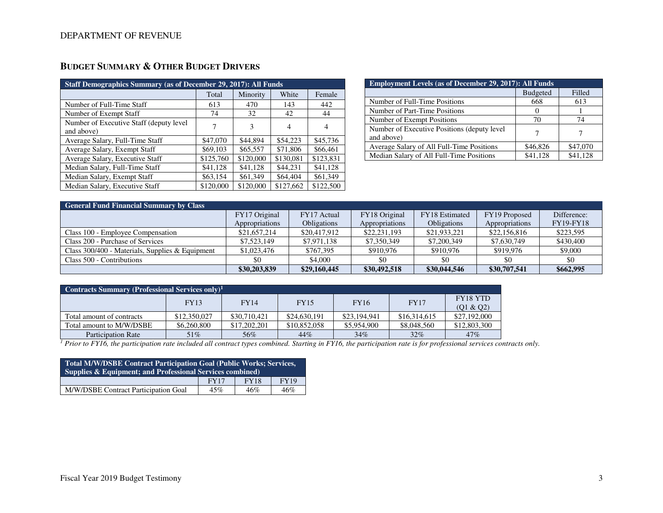| Staff Demographics Summary (as of December 29, 2017): All Funds |           |           |                |           |  |  |  |  |
|-----------------------------------------------------------------|-----------|-----------|----------------|-----------|--|--|--|--|
|                                                                 | Total     | Minority  | White          | Female    |  |  |  |  |
| Number of Full-Time Staff                                       | 613       | 470       | 143            | 442       |  |  |  |  |
| Number of Exempt Staff                                          | 74        | 32        | 42             | 44        |  |  |  |  |
| Number of Executive Staff (deputy level)<br>and above)          | 7         | 3         | $\overline{4}$ | 4         |  |  |  |  |
| Average Salary, Full-Time Staff                                 | \$47,070  | \$44,894  | \$54,223       | \$45,736  |  |  |  |  |
| Average Salary, Exempt Staff                                    | \$69,103  | \$65,557  | \$71,806       | \$66,461  |  |  |  |  |
| Average Salary, Executive Staff                                 | \$125,760 | \$120,000 | \$130,081      | \$123,831 |  |  |  |  |
| Median Salary, Full-Time Staff                                  | \$41,128  | \$41,128  | \$44,231       | \$41,128  |  |  |  |  |
| Median Salary, Exempt Staff                                     | \$63,154  | \$61,349  | \$64,404       | \$61,349  |  |  |  |  |
| Median Salary, Executive Staff                                  | \$120,000 | \$120,000 | \$127,662      | \$122,500 |  |  |  |  |

# **BUDGET SUMMARY & OTHER BUDGET DRIVERS**

| <b>Employment Levels (as of December 29, 2017): All Funds</b> |                 |          |  |  |  |  |
|---------------------------------------------------------------|-----------------|----------|--|--|--|--|
|                                                               | <b>Budgeted</b> | Filled   |  |  |  |  |
| Number of Full-Time Positions                                 | 668             | 613      |  |  |  |  |
| Number of Part-Time Positions                                 | $\theta$        |          |  |  |  |  |
| Number of Exempt Positions                                    | 70              | 74       |  |  |  |  |
| Number of Executive Positions (deputy level)<br>and above)    |                 |          |  |  |  |  |
| Average Salary of All Full-Time Positions                     | \$46,826        | \$47,070 |  |  |  |  |
| Median Salary of All Full-Time Positions                      | \$41.128        | \$41.128 |  |  |  |  |

| <b>General Fund Financial Summary by Class</b>  |                |                    |                |                    |                |                  |  |  |
|-------------------------------------------------|----------------|--------------------|----------------|--------------------|----------------|------------------|--|--|
|                                                 | FY17 Original  | FY17 Actual        | FY18 Original  | FY18 Estimated     | FY19 Proposed  | Difference:      |  |  |
|                                                 | Appropriations | <b>Obligations</b> | Appropriations | <b>Obligations</b> | Appropriations | <b>FY19-FY18</b> |  |  |
| Class 100 - Employee Compensation               | \$21,657,214   | \$20,417,912       | \$22,231,193   | \$21,933,221       | \$22,156,816   | \$223,595        |  |  |
| Class 200 - Purchase of Services                | \$7,523,149    | \$7,971,138        | \$7,350,349    | \$7,200,349        | \$7,630,749    | \$430,400        |  |  |
| Class 300/400 - Materials, Supplies & Equipment | \$1,023,476    | \$767,395          | \$910.976      | \$910.976          | \$919.976      | \$9,000          |  |  |
| Class 500 - Contributions                       | \$0            | \$4,000            | \$0            | \$0                | \$0            | \$0              |  |  |
|                                                 | \$30,203,839   | \$29,160,445       | \$30,492,518   | \$30,044,546       | \$30,707,541   | \$662,995        |  |  |

| Contracts Summary (Professional Services only) <sup>1</sup>                                                                                                       |              |              |              |              |              |              |  |              |
|-------------------------------------------------------------------------------------------------------------------------------------------------------------------|--------------|--------------|--------------|--------------|--------------|--------------|--|--------------|
|                                                                                                                                                                   | <b>FY13</b>  | FY14         | <b>FY15</b>  | <b>FY16</b>  | <b>FY17</b>  | FY18 YTD     |  |              |
|                                                                                                                                                                   |              |              |              |              |              |              |  | $(01 \& 02)$ |
| Total amount of contracts                                                                                                                                         | \$12,350,027 | \$30,710,421 | \$24,630,191 | \$23,194,941 | \$16,314,615 | \$27,192,000 |  |              |
| Total amount to M/W/DSBE                                                                                                                                          | \$6,260,800  | \$17,202,201 | \$10,852,058 | \$5,954,900  | \$8,048,560  | \$12,803,300 |  |              |
| <b>Participation Rate</b>                                                                                                                                         | 51%          | 56%          | 44%          | 34%          | $32\%$       | $47\%$       |  |              |
| Prior to FY16, the participation rate included all contract types combined. Starting in FY16, the participation rate is for professional services contracts only. |              |              |              |              |              |              |  |              |

| <b>Total M/W/DSBE Contract Participation Goal (Public Works; Services,</b><br>Supplies & Equipment; and Professional Services combined) |  |  |  |  |  |  |
|-----------------------------------------------------------------------------------------------------------------------------------------|--|--|--|--|--|--|
| <b>FY19</b><br><b>FY18</b><br><b>FY17</b>                                                                                               |  |  |  |  |  |  |
| 46%<br>M/W/DSBE Contract Participation Goal<br>46%<br>45%                                                                               |  |  |  |  |  |  |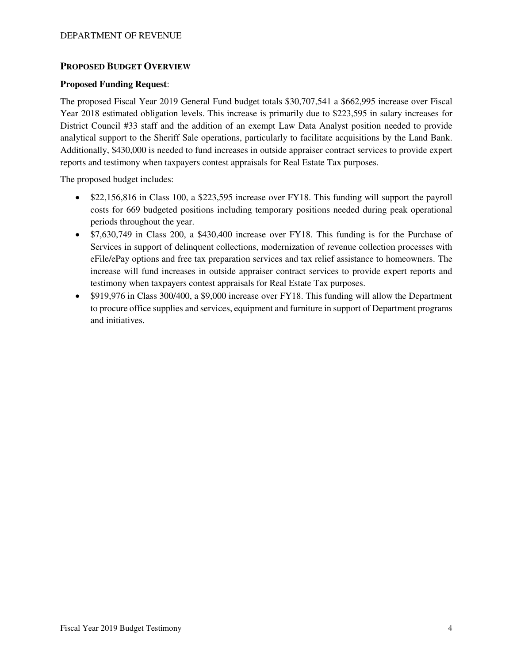## **PROPOSED BUDGET OVERVIEW**

## **Proposed Funding Request**:

The proposed Fiscal Year 2019 General Fund budget totals \$30,707,541 a \$662,995 increase over Fiscal Year 2018 estimated obligation levels. This increase is primarily due to \$223,595 in salary increases for District Council #33 staff and the addition of an exempt Law Data Analyst position needed to provide analytical support to the Sheriff Sale operations, particularly to facilitate acquisitions by the Land Bank. Additionally, \$430,000 is needed to fund increases in outside appraiser contract services to provide expert reports and testimony when taxpayers contest appraisals for Real Estate Tax purposes.

The proposed budget includes:

- \$22,156,816 in Class 100, a \$223,595 increase over FY18. This funding will support the payroll costs for 669 budgeted positions including temporary positions needed during peak operational periods throughout the year.
- \$7,630,749 in Class 200, a \$430,400 increase over FY18. This funding is for the Purchase of Services in support of delinquent collections, modernization of revenue collection processes with eFile/ePay options and free tax preparation services and tax relief assistance to homeowners. The increase will fund increases in outside appraiser contract services to provide expert reports and testimony when taxpayers contest appraisals for Real Estate Tax purposes.
- \$919,976 in Class 300/400, a \$9,000 increase over FY18. This funding will allow the Department to procure office supplies and services, equipment and furniture in support of Department programs and initiatives.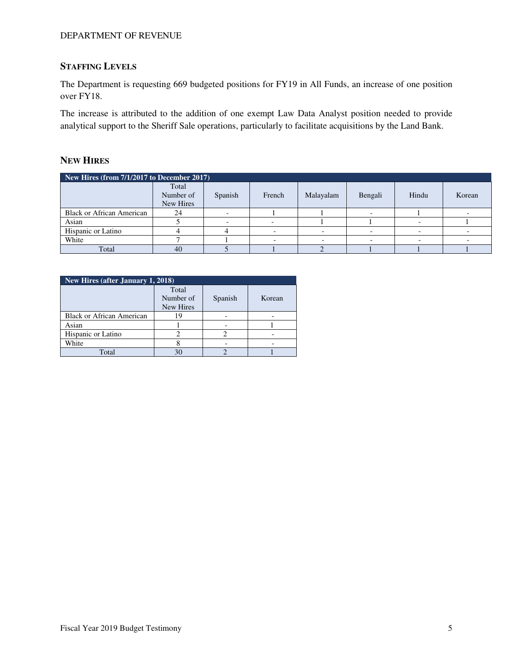### DEPARTMENT OF REVENUE

# **STAFFING LEVELS**

The Department is requesting 669 budgeted positions for FY19 in All Funds, an increase of one position over FY18.

The increase is attributed to the addition of one exempt Law Data Analyst position needed to provide analytical support to the Sheriff Sale operations, particularly to facilitate acquisitions by the Land Bank.

### **NEW HIRES**

| New Hires (from $7/1/2017$ to December 2017) |                                 |         |        |           |         |       |        |  |
|----------------------------------------------|---------------------------------|---------|--------|-----------|---------|-------|--------|--|
|                                              | Total<br>Number of<br>New Hires | Spanish | French | Malayalam | Bengali | Hindu | Korean |  |
| <b>Black or African American</b>             | 24                              |         |        |           |         |       |        |  |
| Asian                                        |                                 |         |        |           |         |       |        |  |
| Hispanic or Latino                           |                                 |         |        |           |         |       |        |  |
| White                                        |                                 |         |        |           |         |       |        |  |
| Total                                        | 40                              |         |        |           |         |       |        |  |

| New Hires (after January 1, 2018) |                                 |         |        |  |  |  |  |
|-----------------------------------|---------------------------------|---------|--------|--|--|--|--|
|                                   | Total<br>Number of<br>New Hires | Spanish | Korean |  |  |  |  |
| <b>Black or African American</b>  |                                 |         |        |  |  |  |  |
| Asian                             |                                 |         |        |  |  |  |  |
| Hispanic or Latino                |                                 |         |        |  |  |  |  |
| White                             |                                 |         |        |  |  |  |  |
| Total                             |                                 |         |        |  |  |  |  |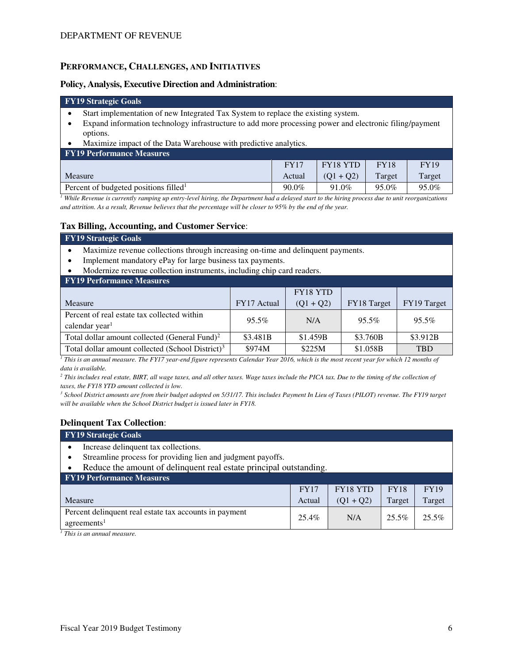## **PERFORMANCE, CHALLENGES, AND INITIATIVES**

## **Policy, Analysis, Executive Direction and Administration**:

#### **FY19 Strategic Goals**

- Start implementation of new Integrated Tax System to replace the existing system.
- Expand information technology infrastructure to add more processing power and electronic filing/payment options.

#### • Maximize impact of the Data Warehouse with predictive analytics.

| <b>FY19 Performance Measures</b>                  |             |             |             |             |  |  |  |
|---------------------------------------------------|-------------|-------------|-------------|-------------|--|--|--|
|                                                   | <b>FY17</b> | FY18 YTD    | <b>FY18</b> | <b>FY19</b> |  |  |  |
| <b>Measure</b>                                    | Actual      | $(01 + 02)$ | Target      | Target      |  |  |  |
| Percent of budgeted positions filled <sup>1</sup> | $90.0\%$    | 91.0%       | 95.0%       | 95.0%       |  |  |  |

*1 While Revenue is currently ramping up entry-level hiring, the Department had a delayed start to the hiring process due to unit reorganizations and attrition. As a result, Revenue believes that the percentage will be closer to 95% by the end of the year.*

## **Tax Billing, Accounting, and Customer Service**:

| <b>FY19 Strategic Goals</b>                                                                               |                                   |             |             |             |  |  |  |
|-----------------------------------------------------------------------------------------------------------|-----------------------------------|-------------|-------------|-------------|--|--|--|
| Maximize revenue collections through increasing on-time and delinquent payments.<br>$\bullet$             |                                   |             |             |             |  |  |  |
| Implement mandatory ePay for large business tax payments.                                                 |                                   |             |             |             |  |  |  |
| Modernize revenue collection instruments, including chip card readers.                                    |                                   |             |             |             |  |  |  |
| <b>FY19 Performance Measures</b>                                                                          |                                   |             |             |             |  |  |  |
|                                                                                                           | FY18 YTD                          |             |             |             |  |  |  |
| Measure                                                                                                   | <b>FY17</b> Actual                | $(Q1 + Q2)$ | FY18 Target | FY19 Target |  |  |  |
| Percent of real estate tax collected within                                                               |                                   |             |             |             |  |  |  |
| calendar year <sup>1</sup>                                                                                | 95.5%<br>95.5%<br>$95.5\%$<br>N/A |             |             |             |  |  |  |
| Total dollar amount collected (General Fund) <sup>2</sup><br>\$1.459B<br>\$3.760B<br>\$3.912B<br>\$3.481B |                                   |             |             |             |  |  |  |
| Total dollar amount collected (School District) <sup>3</sup>                                              | \$974M                            | \$225M      | \$1.058B    | <b>TBD</b>  |  |  |  |

*1 This is an annual measure. The FY17 year-end figure represents Calendar Year 2016, which is the most recent year for which 12 months of data is available.* 

<sup>2</sup> This includes real estate, BIRT, all wage taxes, and all other taxes. Wage taxes include the PICA tax. Due to the timing of the collection of *taxes, the FY18 YTD amount collected is low.* 

<sup>3</sup> School District amounts are from their budget adopted on 5/31/17. This includes Payment In Lieu of Taxes (PILOT) revenue. The FY19 target *will be available when the School District budget is issued later in FY18.* 

## **Delinquent Tax Collection**:

| <b>FY19 Strategic Goals</b>                                                       |             |                 |             |             |  |  |
|-----------------------------------------------------------------------------------|-------------|-----------------|-------------|-------------|--|--|
| Increase delinquent tax collections.<br>٠                                         |             |                 |             |             |  |  |
| Streamline process for providing lien and judgment payoffs.<br>٠                  |             |                 |             |             |  |  |
| Reduce the amount of delinquent real estate principal outstanding.                |             |                 |             |             |  |  |
| <b>FY19 Performance Measures</b>                                                  |             |                 |             |             |  |  |
|                                                                                   | <b>FY17</b> | <b>FY18 YTD</b> | <b>FY18</b> | <b>FY19</b> |  |  |
| Measure                                                                           | Actual      | $(Q1 + Q2)$     | Target      | Target      |  |  |
| Percent delinquent real estate tax accounts in payment<br>agreenents <sup>1</sup> | 25.4%       | N/A             | $25.5\%$    | $25.5\%$    |  |  |

*1 This is an annual measure.*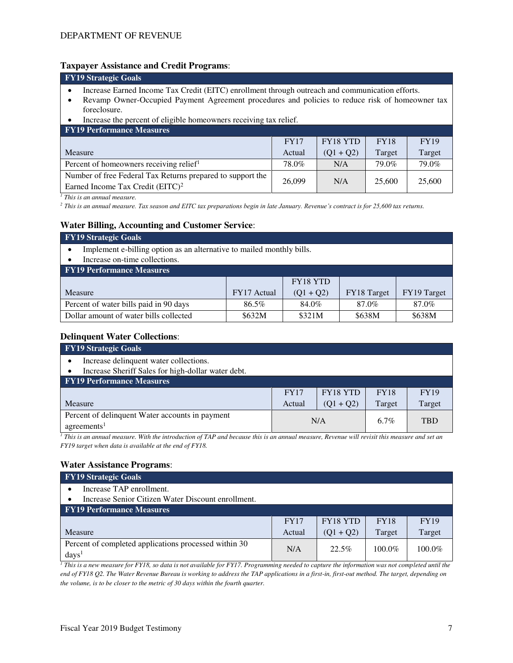## **Taxpayer Assistance and Credit Programs**:

| $-$ where $\frac{1}{2}$ , $\frac{1}{2}$ , $\frac{1}{2}$ , $\frac{1}{2}$ , $\frac{1}{2}$ , $\frac{1}{2}$ , $\frac{1}{2}$ , $\frac{1}{2}$ , $\frac{1}{2}$ , $\frac{1}{2}$ , $\frac{1}{2}$ , $\frac{1}{2}$ , $\frac{1}{2}$ , $\frac{1}{2}$ , $\frac{1}{2}$ , $\frac{1}{2}$ , $\frac{1}{2}$ , $\frac{1}{2$ |             |             |             |             |  |  |  |
|--------------------------------------------------------------------------------------------------------------------------------------------------------------------------------------------------------------------------------------------------------------------------------------------------------|-------------|-------------|-------------|-------------|--|--|--|
| <b>FY19 Strategic Goals</b>                                                                                                                                                                                                                                                                            |             |             |             |             |  |  |  |
| Increase Earned Income Tax Credit (EITC) enrollment through outreach and communication efforts.<br>$\bullet$<br>Revamp Owner-Occupied Payment Agreement procedures and policies to reduce risk of homeowner tax<br>foreclosure.<br>Increase the percent of eligible homeowners receiving tax relief.   |             |             |             |             |  |  |  |
| <b>FY19 Performance Measures</b>                                                                                                                                                                                                                                                                       |             |             |             |             |  |  |  |
|                                                                                                                                                                                                                                                                                                        | <b>FY17</b> | FY18 YTD    | <b>FY18</b> | <b>FY19</b> |  |  |  |
| Measure                                                                                                                                                                                                                                                                                                | Actual      | $(Q1 + Q2)$ | Target      | Target      |  |  |  |
| Percent of homeowners receiving relief <sup>1</sup><br>79.0%<br>79.0%<br>78.0%<br>N/A                                                                                                                                                                                                                  |             |             |             |             |  |  |  |
| Number of free Federal Tax Returns prepared to support the<br>$\mathbf{r}$ $\mathbf{r}$ $\mathbf{r}$ $\mathbf{r}$ $\mathbf{r}$ $\mathbf{r}$ $\mathbf{r}$ $\mathbf{r}$ $\mathbf{r}$ $\mathbf{r}$ $\mathbf{r}$                                                                                           | 26.099      | N/A         | 25,600      | 25,600      |  |  |  |

Earned Income Tax Credit (EITC)<sup>2</sup>

*1 This is an annual measure.* 

*<sup>2</sup> This is an annual measure. Tax season and EITC tax preparations begin in late January. Revenue's contract is for 25,600 tax returns.* 

#### **Water Billing, Accounting and Customer Service**:

| <b>FY19 Strategic Goals</b>                                                        |             |                 |             |             |  |  |  |
|------------------------------------------------------------------------------------|-------------|-----------------|-------------|-------------|--|--|--|
| Implement e-billing option as an alternative to mailed monthly bills.<br>$\bullet$ |             |                 |             |             |  |  |  |
| Increase on-time collections.                                                      |             |                 |             |             |  |  |  |
| <b>FY19 Performance Measures</b>                                                   |             |                 |             |             |  |  |  |
|                                                                                    |             | <b>FY18 YTD</b> |             |             |  |  |  |
| <b>Measure</b>                                                                     | FY17 Actual | $(Q1 + Q2)$     | FY18 Target | FY19 Target |  |  |  |
| Percent of water bills paid in 90 days                                             | 86.5%       | 84.0%           | 87.0%       | 87.0%       |  |  |  |
| Dollar amount of water bills collected                                             | \$632M      | \$321M          | \$638M      | \$638M      |  |  |  |

## **Delinquent Water Collections**:

| <b>FY19 Strategic Goals</b>                                                |                |                 |             |             |  |  |  |  |  |
|----------------------------------------------------------------------------|----------------|-----------------|-------------|-------------|--|--|--|--|--|
| Increase delinquent water collections.                                     |                |                 |             |             |  |  |  |  |  |
| Increase Sheriff Sales for high-dollar water debt.                         |                |                 |             |             |  |  |  |  |  |
| <b>FY19 Performance Measures</b>                                           |                |                 |             |             |  |  |  |  |  |
|                                                                            | <b>FY17</b>    | <b>FY18 YTD</b> | <b>FY18</b> | <b>FY19</b> |  |  |  |  |  |
| Measure                                                                    | Actual         | $(Q1 + Q2)$     | Target      | Target      |  |  |  |  |  |
| Percent of delinquent Water accounts in payment<br>agreenents <sup>1</sup> | N/A<br>$6.7\%$ |                 | <b>TBD</b>  |             |  |  |  |  |  |

<sup>1</sup> This is an annual measure. With the introduction of TAP and because this is an annual measure, Revenue will revisit this measure and set an *FY19 target when data is available at the end of FY18.*

## **Water Assistance Programs**:

| <b>FY19 Strategic Goals</b>                                           |             |                 |             |             |  |  |  |  |
|-----------------------------------------------------------------------|-------------|-----------------|-------------|-------------|--|--|--|--|
| Increase TAP enrollment.                                              |             |                 |             |             |  |  |  |  |
| Increase Senior Citizen Water Discount enrollment.                    |             |                 |             |             |  |  |  |  |
| <b>FY19 Performance Measures</b>                                      |             |                 |             |             |  |  |  |  |
|                                                                       | <b>FY17</b> | <b>FY18 YTD</b> | <b>FY18</b> | <b>FY19</b> |  |  |  |  |
| Measure                                                               | Actual      | $(Q1 + Q2)$     | Target      | Target      |  |  |  |  |
| Percent of completed applications processed within 30<br>$\rm days^1$ | N/A         | 22.5%           | 100.0%      | $100.0\%$   |  |  |  |  |

<sup>1</sup> This is a new measure for FY18, so data is not available for FY17. Programming needed to capture the information was not completed until the *end of FY18 Q2. The Water Revenue Bureau is working to address the TAP applications in a first-in, first-out method. The target, depending on the volume, is to be closer to the metric of 30 days within the fourth quarter.*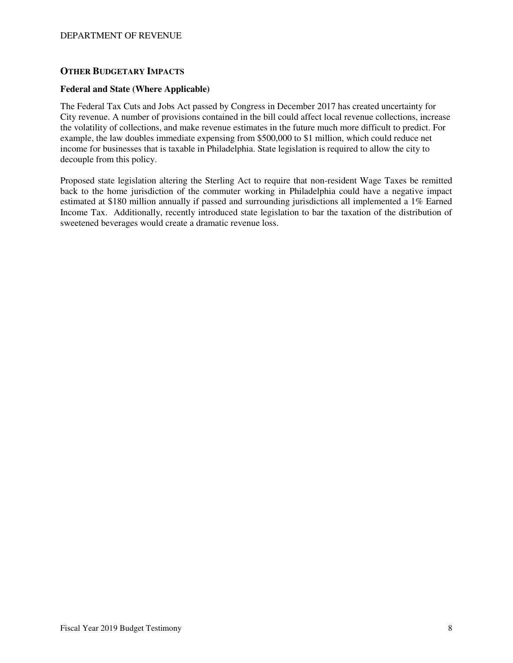## **OTHER BUDGETARY IMPACTS**

## **Federal and State (Where Applicable)**

The Federal Tax Cuts and Jobs Act passed by Congress in December 2017 has created uncertainty for City revenue. A number of provisions contained in the bill could affect local revenue collections, increase the volatility of collections, and make revenue estimates in the future much more difficult to predict. For example, the law doubles immediate expensing from \$500,000 to \$1 million, which could reduce net income for businesses that is taxable in Philadelphia. State legislation is required to allow the city to decouple from this policy.

Proposed state legislation altering the Sterling Act to require that non-resident Wage Taxes be remitted back to the home jurisdiction of the commuter working in Philadelphia could have a negative impact estimated at \$180 million annually if passed and surrounding jurisdictions all implemented a 1% Earned Income Tax. Additionally, recently introduced state legislation to bar the taxation of the distribution of sweetened beverages would create a dramatic revenue loss.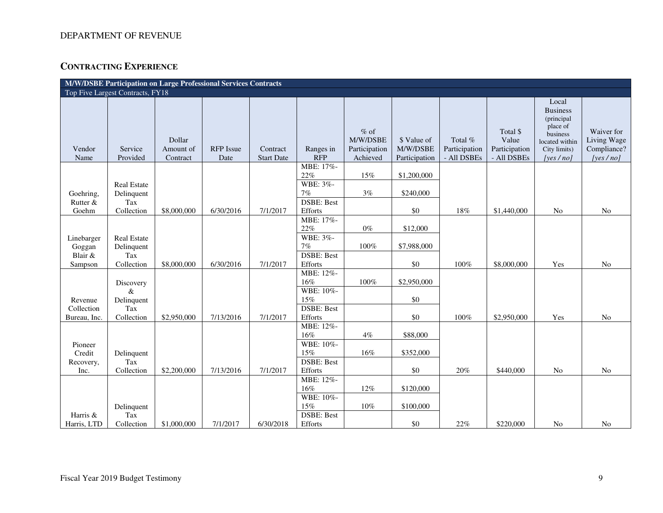## DEPARTMENT OF REVENUE

# **CONTRACTING EXPERIENCE**

| M/W/DSBE Participation on Large Professional Services Contracts |                           |                                 |                          |                               |                              |                                                 |                                          |                                         |                                                   |                                                                                                                  |                                                      |
|-----------------------------------------------------------------|---------------------------|---------------------------------|--------------------------|-------------------------------|------------------------------|-------------------------------------------------|------------------------------------------|-----------------------------------------|---------------------------------------------------|------------------------------------------------------------------------------------------------------------------|------------------------------------------------------|
| Top Five Largest Contracts, FY18                                |                           |                                 |                          |                               |                              |                                                 |                                          |                                         |                                                   |                                                                                                                  |                                                      |
| Vendor<br>Name                                                  | Service<br>Provided       | Dollar<br>Amount of<br>Contract | <b>RFP</b> Issue<br>Date | Contract<br><b>Start Date</b> | Ranges in<br><b>RFP</b>      | $%$ of<br>M/W/DSBE<br>Participation<br>Achieved | \$ Value of<br>M/W/DSBE<br>Participation | Total %<br>Participation<br>- All DSBEs | Total \$<br>Value<br>Participation<br>- All DSBEs | Local<br><b>Business</b><br>(principal<br>place of<br>business<br>located within<br>City limits)<br>[yes $/no$ ] | Waiver for<br>Living Wage<br>Compliance?<br>[yes/no] |
|                                                                 |                           |                                 |                          |                               | MBE: 17%-                    | $15\%$                                          |                                          |                                         |                                                   |                                                                                                                  |                                                      |
|                                                                 |                           |                                 |                          |                               | $22\%$<br>WBE: 3%-           |                                                 | \$1,200,000                              |                                         |                                                   |                                                                                                                  |                                                      |
| Goehring,                                                       | Real Estate<br>Delinquent |                                 |                          |                               | $7\%$                        | 3%                                              | \$240,000                                |                                         |                                                   |                                                                                                                  |                                                      |
| Rutter &                                                        | Tax                       |                                 |                          |                               | <b>DSBE: Best</b>            |                                                 |                                          |                                         |                                                   |                                                                                                                  |                                                      |
| Goehm                                                           | Collection                | \$8,000,000                     | 6/30/2016                | 7/1/2017                      | Efforts                      |                                                 | \$0                                      | 18%                                     | \$1,440,000                                       | N <sub>o</sub>                                                                                                   | No                                                   |
|                                                                 |                           |                                 |                          |                               | MBE: 17%-<br>$22\%$          | $0\%$                                           | \$12,000                                 |                                         |                                                   |                                                                                                                  |                                                      |
| Linebarger                                                      | <b>Real Estate</b>        |                                 |                          |                               | WBE: 3%-                     |                                                 |                                          |                                         |                                                   |                                                                                                                  |                                                      |
| Goggan                                                          | Delinquent                |                                 |                          |                               | 7%                           | 100%                                            | \$7,988,000                              |                                         |                                                   |                                                                                                                  |                                                      |
| Blair &                                                         | Tax                       |                                 |                          |                               | <b>DSBE: Best</b>            |                                                 |                                          |                                         |                                                   |                                                                                                                  |                                                      |
| Sampson                                                         | Collection                | \$8,000,000                     | 6/30/2016                | 7/1/2017                      | Efforts                      |                                                 | \$0                                      | 100%                                    | \$8,000,000                                       | Yes                                                                                                              | No                                                   |
|                                                                 |                           |                                 |                          |                               | MBE: 12%-                    |                                                 |                                          |                                         |                                                   |                                                                                                                  |                                                      |
|                                                                 | Discovery                 |                                 |                          |                               | $16\%$                       | $100\%$                                         | \$2,950,000                              |                                         |                                                   |                                                                                                                  |                                                      |
|                                                                 | $\&$                      |                                 |                          |                               | WBE: 10%-                    |                                                 |                                          |                                         |                                                   |                                                                                                                  |                                                      |
| Revenue                                                         | Delinquent                |                                 |                          |                               | 15%                          |                                                 | \$0                                      |                                         |                                                   |                                                                                                                  |                                                      |
| Collection<br>Bureau, Inc.                                      | Tax<br>Collection         | \$2,950,000                     | 7/13/2016                | 7/1/2017                      | <b>DSBE: Best</b><br>Efforts |                                                 | \$0                                      | 100%                                    | \$2,950,000                                       | Yes                                                                                                              | N <sub>o</sub>                                       |
|                                                                 |                           |                                 |                          |                               | MBE: 12%-                    |                                                 |                                          |                                         |                                                   |                                                                                                                  |                                                      |
|                                                                 |                           |                                 |                          |                               | 16%                          | 4%                                              | \$88,000                                 |                                         |                                                   |                                                                                                                  |                                                      |
| Pioneer                                                         |                           |                                 |                          |                               | WBE: 10%-                    |                                                 |                                          |                                         |                                                   |                                                                                                                  |                                                      |
| Credit                                                          | Delinquent                |                                 |                          |                               | 15%                          | 16%                                             | \$352,000                                |                                         |                                                   |                                                                                                                  |                                                      |
| Recovery,                                                       | Tax                       |                                 |                          |                               | <b>DSBE: Best</b>            |                                                 |                                          |                                         |                                                   |                                                                                                                  |                                                      |
| Inc.                                                            | Collection                | \$2,200,000                     | 7/13/2016                | 7/1/2017                      | Efforts                      |                                                 | \$0                                      | 20%                                     | \$440,000                                         | No                                                                                                               | N <sub>o</sub>                                       |
|                                                                 |                           |                                 |                          |                               | MBE: 12%-                    |                                                 |                                          |                                         |                                                   |                                                                                                                  |                                                      |
|                                                                 |                           |                                 |                          |                               | 16%<br>WBE: 10%-             | $12\%$                                          | \$120,000                                |                                         |                                                   |                                                                                                                  |                                                      |
|                                                                 | Delinquent                |                                 |                          |                               | $15\%$                       | 10%                                             | \$100,000                                |                                         |                                                   |                                                                                                                  |                                                      |
| Harris &                                                        | Tax                       |                                 |                          |                               | <b>DSBE: Best</b>            |                                                 |                                          |                                         |                                                   |                                                                                                                  |                                                      |
| Harris, LTD                                                     | Collection                | \$1,000,000                     | 7/1/2017                 | 6/30/2018                     | Efforts                      |                                                 | \$0                                      | 22%                                     | \$220,000                                         | N <sub>o</sub>                                                                                                   | N <sub>o</sub>                                       |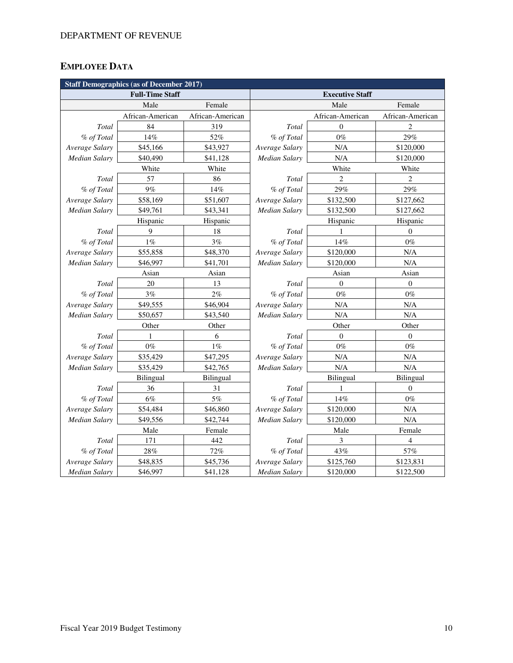# **EMPLOYEE DATA**

| <b>Staff Demographics (as of December 2017)</b> |                        |                  |                                   |                  |                  |  |  |  |
|-------------------------------------------------|------------------------|------------------|-----------------------------------|------------------|------------------|--|--|--|
|                                                 | <b>Full-Time Staff</b> |                  | <b>Executive Staff</b>            |                  |                  |  |  |  |
|                                                 | Male                   | Female           |                                   | Male             | Female           |  |  |  |
|                                                 | African-American       | African-American |                                   | African-American | African-American |  |  |  |
| Total                                           | 84                     | 319              | Total                             | $\Omega$         | 2                |  |  |  |
| % of Total                                      | 14%                    | 52%              | % of Total                        | $0\%$            | 29%              |  |  |  |
| Average Salary                                  | \$45,166               | \$43,927         | Average Salary                    | N/A              | \$120,000        |  |  |  |
| Median Salary                                   | \$40,490               | \$41,128         | <b>Median Salary</b>              | N/A              | \$120,000        |  |  |  |
|                                                 | White                  | White            |                                   | White            | White            |  |  |  |
| <b>Total</b>                                    | 57                     | 86               | Total                             | $\overline{2}$   | $\overline{c}$   |  |  |  |
| % of Total                                      | 9%                     | 14%              | % of Total                        | 29%              | 29%              |  |  |  |
| Average Salary                                  | \$58,169               | \$51,607         | Average Salary                    | \$132,500        | \$127,662        |  |  |  |
| Median Salary                                   | \$49,761               | \$43,341         | Median Salary                     | \$132,500        | \$127,662        |  |  |  |
|                                                 | Hispanic               | Hispanic         |                                   | Hispanic         | Hispanic         |  |  |  |
| Total                                           | 9                      | 18               | Total                             | 1                | $\theta$         |  |  |  |
| % of Total                                      | $1\%$                  | 3%               | % of Total                        | 14%              | $0\%$            |  |  |  |
| Average Salary                                  | \$55,858               | \$48,370         | Average Salary                    | \$120,000        | N/A              |  |  |  |
| Median Salary                                   | \$46,997               | \$41,701         | <b>Median Salary</b><br>\$120,000 |                  | N/A              |  |  |  |
| Asian<br>Asian                                  |                        | Asian<br>Asian   |                                   |                  |                  |  |  |  |
| Total                                           | 20                     | 13               | Total                             | $\boldsymbol{0}$ | $\boldsymbol{0}$ |  |  |  |
| % of Total                                      | 3%                     | $2\%$            | % of Total                        | $0\%$            | $0\%$            |  |  |  |
| Average Salary                                  | \$49,555               | \$46,904         | Average Salary                    | N/A              | N/A              |  |  |  |
| <b>Median Salary</b>                            | \$50,657               | \$43,540         | <b>Median Salary</b>              | N/A              | N/A              |  |  |  |
|                                                 | Other                  | Other            | Other<br>Other                    |                  |                  |  |  |  |
| Total                                           | 1                      | 6                | Total                             | $\boldsymbol{0}$ | $\mathbf{0}$     |  |  |  |
| % of Total                                      | $0\%$                  | $1\%$            | % of Total                        | $0\%$            | $0\%$            |  |  |  |
| Average Salary                                  | \$35,429               | \$47,295         | Average Salary                    | N/A              | N/A              |  |  |  |
| <b>Median Salary</b>                            | \$35,429               | \$42,765         | <b>Median Salary</b>              | N/A              | N/A              |  |  |  |
|                                                 | Bilingual              | Bilingual        |                                   | Bilingual        | Bilingual        |  |  |  |
| Total                                           | 36                     | 31               | Total                             | 1                | $\boldsymbol{0}$ |  |  |  |
| % of Total                                      | $6\%$                  | $5\%$            | % of Total                        | 14%              | $0\%$            |  |  |  |
| Average Salary                                  | \$54,484               | \$46,860         | Average Salary                    | \$120,000        | N/A              |  |  |  |
| <b>Median Salary</b>                            | \$49,556               | \$42,744         | <b>Median Salary</b>              | \$120,000        | N/A              |  |  |  |
| Male<br>Female                                  |                        |                  | Male                              | Female           |                  |  |  |  |
| Total                                           | 171                    | 442              | Total                             | 3                | 4                |  |  |  |
| % of Total                                      | 28%                    | 72%              | % of Total                        | 43%              | 57%              |  |  |  |
| Average Salary                                  | \$48,835               | \$45,736         | Average Salary                    | \$125,760        | \$123,831        |  |  |  |
| <b>Median Salary</b>                            | \$46,997               | \$41,128         | <b>Median Salary</b>              | \$120,000        | \$122,500        |  |  |  |